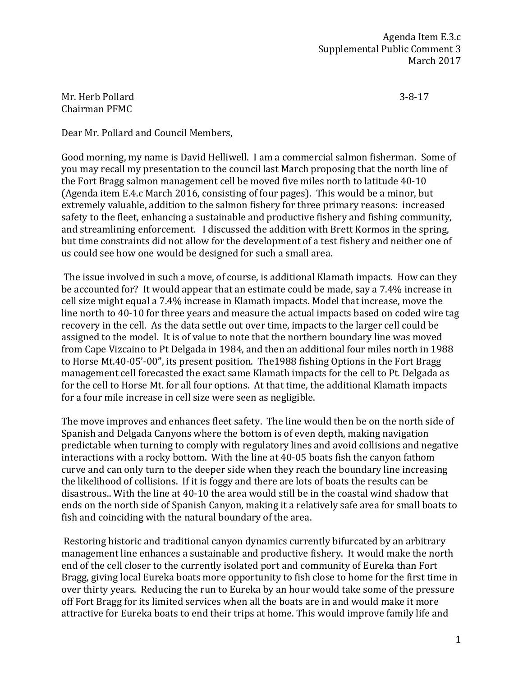Agenda Item E.3.c Supplemental Public Comment 3 March 2017

Mr. Herb Pollard 3-8-17 Chairman PFMC

Dear Mr. Pollard and Council Members,

Good morning, my name is David Helliwell. I am a commercial salmon fisherman. Some of you may recall my presentation to the council last March proposing that the north line of the Fort Bragg salmon management cell be moved five miles north to latitude 40-10 (Agenda item E.4.c March 2016, consisting of four pages). This would be a minor, but extremely valuable, addition to the salmon fishery for three primary reasons: increased safety to the fleet, enhancing a sustainable and productive fishery and fishing community, and streamlining enforcement. I discussed the addition with Brett Kormos in the spring, but time constraints did not allow for the development of a test fishery and neither one of us could see how one would be designed for such a small area.

The issue involved in such a move, of course, is additional Klamath impacts. How can they be accounted for? It would appear that an estimate could be made, say a 7.4% increase in cell size might equal a 7.4% increase in Klamath impacts. Model that increase, move the line north to 40-10 for three years and measure the actual impacts based on coded wire tag recovery in the cell. As the data settle out over time, impacts to the larger cell could be assigned to the model. It is of value to note that the northern boundary line was moved from Cape Vizcaino to Pt Delgada in 1984, and then an additional four miles north in 1988 to Horse Mt.40-05'-00", its present position. The1988 fishing Options in the Fort Bragg management cell forecasted the exact same Klamath impacts for the cell to Pt. Delgada as for the cell to Horse Mt. for all four options. At that time, the additional Klamath impacts for a four mile increase in cell size were seen as negligible.

The move improves and enhances fleet safety. The line would then be on the north side of Spanish and Delgada Canyons where the bottom is of even depth, making navigation predictable when turning to comply with regulatory lines and avoid collisions and negative interactions with a rocky bottom. With the line at 40-05 boats fish the canyon fathom curve and can only turn to the deeper side when they reach the boundary line increasing the likelihood of collisions. If it is foggy and there are lots of boats the results can be disastrous.. With the line at 40-10 the area would still be in the coastal wind shadow that ends on the north side of Spanish Canyon, making it a relatively safe area for small boats to fish and coinciding with the natural boundary of the area.

Restoring historic and traditional canyon dynamics currently bifurcated by an arbitrary management line enhances a sustainable and productive fishery. It would make the north end of the cell closer to the currently isolated port and community of Eureka than Fort Bragg, giving local Eureka boats more opportunity to fish close to home for the first time in over thirty years. Reducing the run to Eureka by an hour would take some of the pressure off Fort Bragg for its limited services when all the boats are in and would make it more attractive for Eureka boats to end their trips at home. This would improve family life and